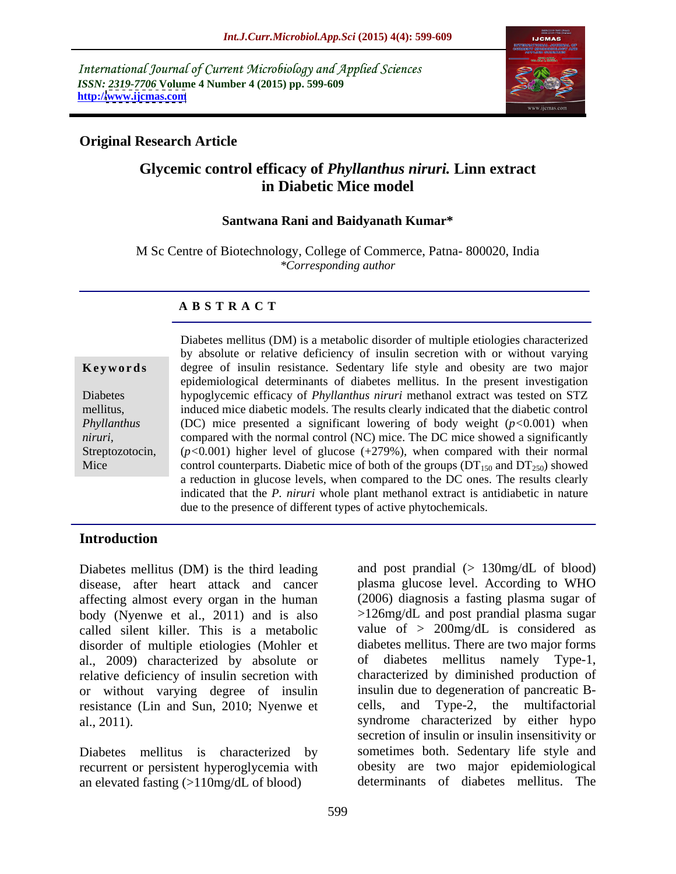International Journal of Current Microbiology and Applied Sciences *ISSN: 2319-7706* **Volume 4 Number 4 (2015) pp. 599-609 http:/[/www.ijcmas.com](http://www.ijcmas.com)**



# **Original Research Article**

# **Glycemic control efficacy of** *Phyllanthus niruri.* **Linn extract in Diabetic Mice model**

### **Santwana Rani and Baidyanath Kumar\***

M Sc Centre of Biotechnology, College of Commerce, Patna- 800020, India *\*Corresponding author*

### **A B S T R A C T**

Mice

Diabetes mellitus (DM) is a metabolic disorder of multiple etiologies characterized by absolute or relative deficiency of insulin secretion with or without varying **Keywords** degree of insulin resistance. Sedentary life style and obesity are two major epidemiological determinants of diabetes mellitus. In the present investigation hypoglycemic efficacy of *Phyllanthus niruri* methanol extract was tested on STZ Diabetes induced mice diabetic models. The results clearly indicated that the diabetic control mellitus, (DC) mice presented a significant lowering of body weight (*p<*0*.*001) when *Phyllanthus*  compared with the normal control (NC) mice. The DC mice showed a significantly *niruri,* Streptozotocin,  $(p<0.001)$  higher level of glucose  $(+279%)$ , when compared with their normal control counterparts. Diabetic mice of both of the groups ( $DT<sub>150</sub>$  and  $DT<sub>250</sub>$ ) showed a reduction in glucose levels, when compared to the DC ones. The results clearly indicated that the *P. niruri* whole plant methanol extract is antidiabetic in nature due to the presence of different types of active phytochemicals.

## **Introduction**

Diabetes mellitus (DM) is the third leading disease, after heart attack and cancer affecting almost every organ in the human body (Nyenwe et al., 2011) and is also called silent killer. This is a metabolic disorder of multiple etiologies (Mohler et diabetes mellitus. There are two major forms al., 2009) characterized by absolute or of diabetes mellitus namely Type-1, relative deficiency of insulin secretion with or without varying degree of insulin resistance (Lin and Sun, 2010; Nyenwe et al., 2011). syndrome characterized by either hypo

Diabetes mellitus is characterized by recurrent or persistent hyperoglycemia with an elevated fasting (>110mg/dL of blood)

and post prandial  $(> 130 \text{mg/dL of blood})$ plasma glucose level. According to WHO (2006) diagnosis a fasting plasma sugar of >126mg/dL and post prandial plasma sugar value of  $> 200$ mg/dL is considered as diabetes mellitus namely characterized by diminished production of insulin due to degeneration of pancreatic B- Type-2, the multifactorial secretion of insulin or insulin insensitivity or sometimes both. Sedentary life style and obesity are two major epidemiological determinants of diabetes mellitus. The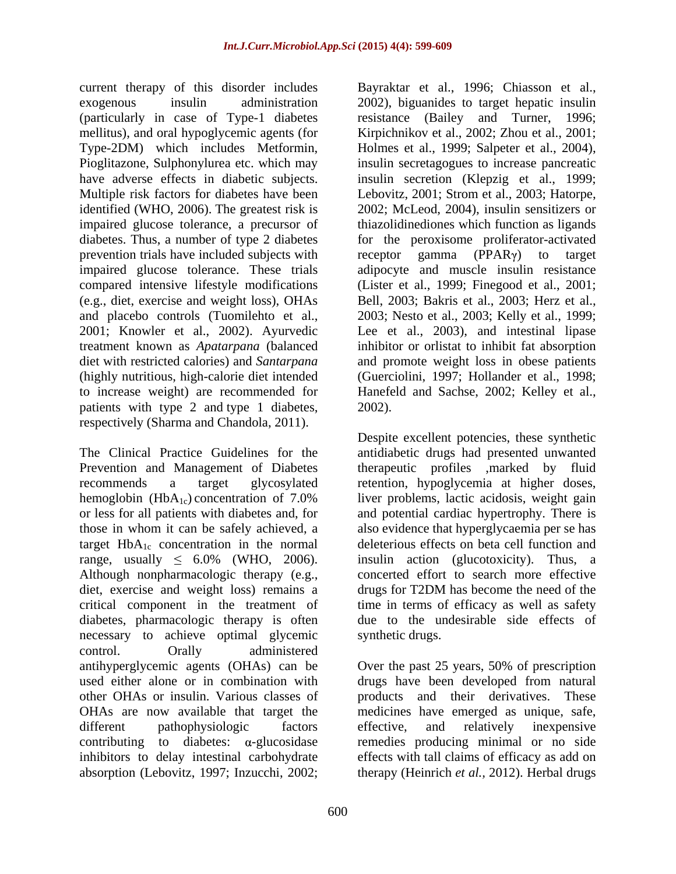current therapy of this disorder includes Bayraktar et al., 1996; Chiasson et al., exogenous insulin administration 2002), biguanides to target hepatic insulin identified (WHO, 2006). The greatest risk is impaired glucose tolerance, a precursor of prevention trials have included subjects with receptor gamma (PPAR $\gamma$ ) to target and placebo controls (Tuomilehto et al., patients with type 2 and type 1 diabetes, 2002). respectively (Sharma and Chandola, 2011).

The Clinical Practice Guidelines for the antidiabetic drugs had presented unwanted Prevention and Management of Diabetes recommends a target glycosylated retention, hypoglycemia at higher doses, hemoglobin ( $HbA_{1c}$ ) concentration of 7.0% liver problems, lactic acidosis, weight gain or less for all patients with diabetes and, for those in whom it can be safely achieved, a also evidence that hyperglycaemia per se has target  $HbA_{1c}$  concentration in the normal deleterious effects on beta cell function and range, usually  $\leq 6.0\%$  (WHO, 2006). insulin action (glucotoxicity). Thus, a Although nonpharmacologic therapy (e.g., concerted effort to search more effective diet, exercise and weight loss) remains a drugs for T2DM has become the need of the critical component in the treatment of time in terms of efficacy as well as safety diabetes, pharmacologic therapy is often due to the undesirable side effects of necessary to achieve optimal glycemic control. Orally administered absorption (Lebovitz, 1997; Inzucchi, 2002; therapy (Heinrich *et al.,* 2012). Herbal drugs

(particularly in case of Type-1 diabetes resistance (Bailey and Turner, 1996; mellitus), and oral hypoglycemic agents (for Kirpichnikov et al., 2002; Zhou et al., 2001; Type-2DM) which includes Metformin, Holmes et al., 1999; Salpeter et al., 2004), Pioglitazone, Sulphonylurea etc. which may insulin secretagogues to increase pancreatic have adverse effects in diabetic subjects. insulin secretion (Klepzig et al., 1999; Multiple risk factors for diabetes have been Lebovitz, 2001; Strom et al., 2003; Hatorpe, diabetes. Thus, a number of type 2 diabetes for the peroxisome proliferator-activated impaired glucose tolerance. These trials adipocyte and muscle insulin resistance compared intensive lifestyle modifications (Lister et al., 1999; Finegood et al., 2001; (e.g., diet, exercise and weight loss), OHAs Bell, 2003; Bakris et al., 2003; Herz et al., 2001; Knowler et al., 2002). Ayurvedic Lee et al., 2003), and intestinal lipase treatment known as *Apatarpana* (balanced inhibitor or orlistat to inhibit fat absorption diet with restricted calories) and *Santarpana* and promote weight loss in obese patients (highly nutritious, high-calorie diet intended (Guerciolini, 1997; Hollander et al., 1998; to increase weight) are recommended for Hanefeld and Sachse, 2002; Kelley et al., Bayraktar et al., 1996; Chiasson et al.,<br>2002), biguanides to target hepatic insulin 2002; McLeod, 2004), insulin sensitizers or thiazolidinediones which function as ligands receptor gamma (PPAR $\gamma$ ) to target 2003; Nesto et al., 2003; Kelly et al., 1999; 2002).

> Despite excellent potencies, these synthetic therapeutic profiles ,marked by fluid liver problems, lactic acidosis, weight gain and potential cardiac hypertrophy. There is drugs for T2DM has become the need of the synthetic drugs.

antihyperglycemic agents (OHAs) can be Over the past 25 years, 50% of prescription used either alone or in combination with drugs have been developed from natural other OHAs or insulin. Various classes of products and their derivatives. These OHAs are now available that target the medicines have emerged as unique, safe, different pathophysiologic factors effective, and relatively inexpensive contributing to diabetes:  $\alpha$ -glucosidase remedies producing minimal or no side inhibitors to delay intestinal carbohydrate effects with tall claims of efficacy as add on effective, and relatively inexpensive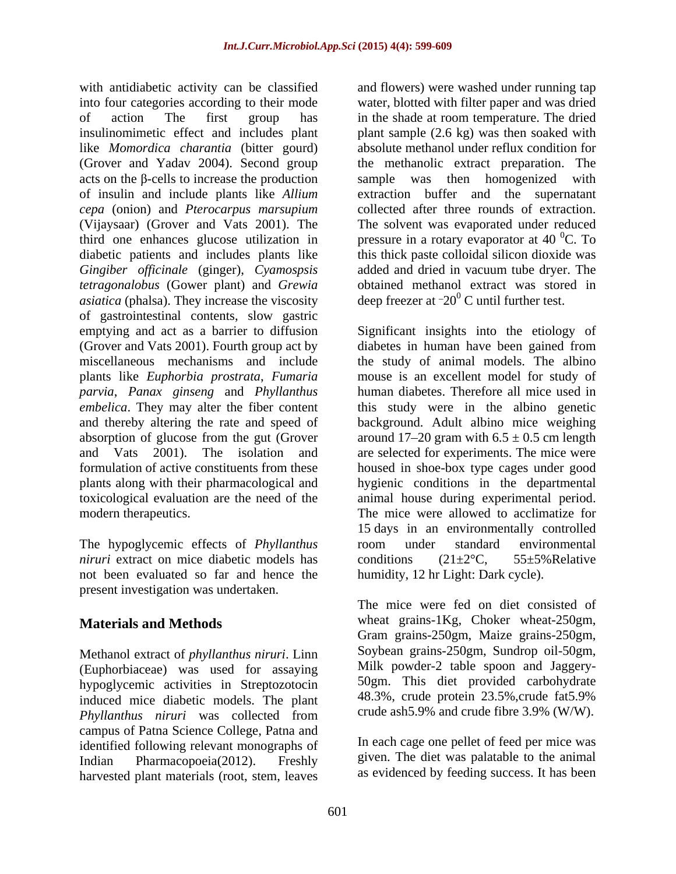like *Momordica charantia* (bitter gourd) of insulin and include plants like *Allium cepa* (onion) and *Pterocarpus marsupium* (Vijaysaar) (Grover and Vats 2001). The diabetic patients and includes plants like *Gingiber officinale* (ginger), *Cyamospsis* added and dried in vacuum tube dryer. The *tetragonalobus* (Gower plant) and *Grewia asiatica* (phalsa). They increase the viscosity of gastrointestinal contents, slow gastric *parvia*, *Panax ginseng* and *Phyllanthus* 

The hypoglycemic effects of *Phyllanthus niruri* extract on mice diabetic models has conditions (21±2 °C, 55±5% Relative not been evaluated so far and hence the present investigation was undertaken.

Methanol extract of *phyllanthus niruri*. Linn (Euphorbiaceae) was used for assaying hypoglycemic activities in Streptozotocin<br>induced mice diabetic models The plant 48.3%, crude protein 23.5%, crude fat5.9% induced mice diabetic models. The plant *Phyllanthus niruri* was collected from campus of Patna Science College, Patna and identified following relevant monographs of Indian Pharmacopoeia(2012). Freshly harvested plant materials (root, stem, leaves

with antidiabetic activity can be classified and flowers) were washed under running tap into four categories according to their mode water, blotted with filter paper and was dried of action The first group has in the shade at room temperature. The dried insulinomimetic effect and includes plant plant sample (2.6 kg) was then soaked with (Grover and Yadav 2004). Second group the methanolic extract preparation. The  $\alpha$ cts on the  $\beta$ -cells to increase the production sample was then homogenized with third one enhances glucose utilization in pressure in a rotary evaporator at  $40\text{ °C}$ . To absolute methanol under reflux condition for extraction buffer and the supernatant collected after three rounds of extraction. The solvent was evaporated under reduced  ${}^{0}C.$  To this thick paste colloidal silicon dioxide was added and dried in vacuum tube dryer. The obtained methanol extract was stored in deep freezer at <sup>-20°</sup> C until further test.  $20^0$  C until further test.

emptying and act as a barrier to diffusion Significant insights into the etiology of (Grover and Vats 2001). Fourth group act by diabetes in human have been gained from miscellaneous mechanisms and include the study of animal models. The albino plants like *Euphorbia prostrata*, *Fumaria*  mouse is an excellent model for study of *embelica*. They may alter the fiber content this study were in the albino genetic and thereby altering the rate and speed of background. Adult albino mice weighing absorption of glucose from the gut (Grover around  $17-20$  gram with  $6.5 \pm 0.5$  cm length and Vats 2001). The isolation and are selected for experiments. The mice were formulation of active constituents from these housed in shoe-box type cages under good plants along with their pharmacological and hygienic conditions in the departmental toxicological evaluation are the need of the animal house during experimental period. modern therapeutics. The mice were allowed to acclimatize for human diabetes. Therefore all mice used in 15 days in an environmentally controlled room under standard environmental conditions  $(21 \pm 2^{\circ}\text{C}, 55 \pm 5\% \text{ Relative})$ humidity, 12 hr Light: Dark cycle).

**Materials and Methods** wheat grains-1Kg, Choker wheat-250gm, The mice were fed on diet consisted of Gram grains-250gm, Maize grains-250gm, Soybean grains-250gm, Sundrop oil-50gm, Milk powder-2 table spoon and Jaggery- 50gm. This diet provided carbohydrate 48.3%, crude protein 23.5%,crude fat5.9% crude ash5.9% and crude fibre 3.9% (W/W).

> In each cage one pellet of feed per mice was given. The diet was palatable to the animal as evidenced by feeding success. It has been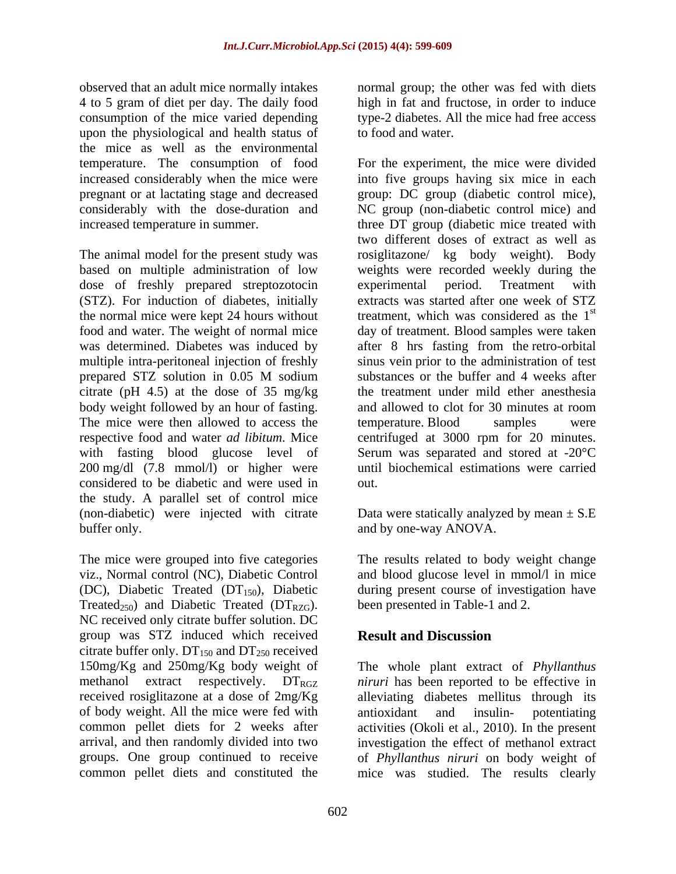observed that an adult mice normally intakes normal group; the other was fed with diets 4 to 5 gram of diet per day. The daily food consumption of the mice varied depending type-2 diabetes. All the mice had free access upon the physiological and health status of the mice as well as the environmental

based on multiple administration of low dose of freshly prepared streptozotocin experimental period. Treatment with (STZ). For induction of diabetes, initially multiple intra-peritoneal injection of freshly citrate (pH 4.5) at the dose of 35 mg/kg with fasting blood glucose level of considered to be diabetic and were used in the study. A parallel set of control mice (non-diabetic) were injected with citrate Data were statically analyzed by mean  $\pm$  S.E buffer only. The contract of the contract of the buffer only.

The mice were grouped into five categories The results related to body weight change viz., Normal control (NC), Diabetic Control and blood glucose level in mmol/l in mice (DC), Diabetic Treated  $(DT_{150})$ , Diabetic during present course of investigation have Treated<sub>250</sub>) and Diabetic Treated ( $DT_{RZG}$ ). NC received only citrate buffer solution. DC group was STZ induced which received **Result and Discussion** citrate buffer only.  $DT_{150}$  and  $DT_{250}$  received of body weight. All the mice were fed with

high in fat and fructose, in order to induce to food and water.

temperature. The consumption of food For the experiment, the mice were divided increased considerably when the mice were into five groups having six mice in each pregnant or at lactating stage and decreased group: DC group (diabetic control mice), considerably with the dose-duration and NC group (non-diabetic control mice) and increased temperature in summer. three DT group (diabetic mice treated with The animal model for the present study was rosiglitazone/ kg body weight). Body the normal mice were kept 24 hours without treatment, which was considered as the  $1<sup>st</sup>$ food and water. The weight of normal mice day of treatment. Blood samples were taken was determined. Diabetes was induced by after 8 hrs fasting from the retro-orbital prepared STZ solution in 0.05 M sodium substances or the buffer and 4 weeks after body weight followed by an hour of fasting. and allowed to clot for 30 minutes at room<br>The mice were then allowed to access the temperature. Blood samples were respective food and water *ad libitum*. Mice centrifuged at 3000 rpm for 20 minutes. 200 mg/dl (7.8 mmol/l) or higher were until biochemical estimations were carried two different doses of extract as well as weights were recorded weekly during the experimental period. Treatment with extracts was started after one week of STZ st sinus vein prior to the administration of test substances or the buffer and 4 weeks after the treatment under mild ether anesthesia and allowed to clot for 30 minutes at room temperature. Blood samples were Serum was separated and stored at -20°C out.

been presented in Table-1 and 2.

# **Result and Discussion**

150mg/Kg and 250mg/Kg body weight of The whole plant extract of *Phyllanthus*  methanol extract respectively. DT<sub>RGZ</sub> *niruri* has been reported to be effective in received rosiglitazone at a dose of 2mg/Kg alleviating diabetes mellitus through its common pellet diets for 2 weeks after activities (Okoli et al., 2010). In the present arrival, and then randomly divided into two investigation the effect of methanol extract groups. One group continued to receive of *Phyllanthus niruri* on body weight of common pellet diets and constituted the mice was studied. The results clearlyantioxidant and insulin- potentiating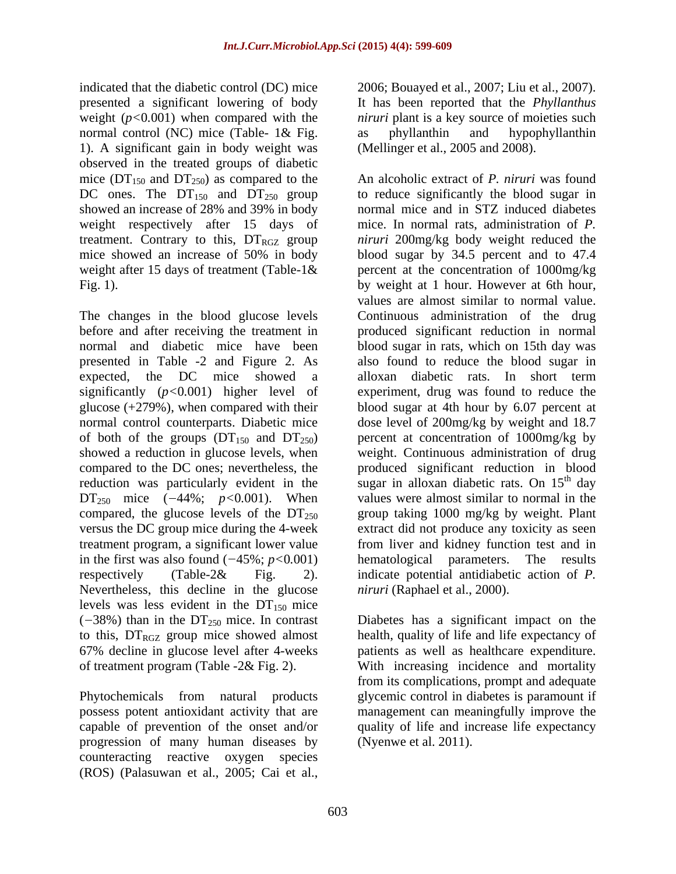indicated that the diabetic control (DC) mice 2006; Bouayed et al., 2007; Liu et al., 2007). presented a significant lowering of body It has been reported that the *Phyllanthus*  weight  $(p<0.001)$  when compared with the normal control (NC) mice (Table- 1& Fig. as phyllanthin and hypophyllanthin 1). A significant gain in body weight was observed in the treated groups of diabetic mice ( $DT<sub>150</sub>$  and  $DT<sub>250</sub>$ ) as compared to the showed an increase of 28% and 39% in body weight respectively after 15 days of

presented in Table -2 and Figure 2. As expected, the DC mice showed a alloxan diabetic rats. In short term showed a reduction in glucose levels, when compared to the DC ones; nevertheless, the compared, the glucose levels of the  $DT<sub>250</sub>$  versus the DC group mice during the 4-week in the first was also found  $(-45\%; p<0.001)$  hematological Nevertheless, this decline in the glucose levels was less evident in the  $DT_{150}$  mice

progression of many human diseases by counteracting reactive oxygen species (ROS) (Palasuwan et al., 2005; Cai et al.,

*niruri* plant is a key source of moieties such as phyllanthin and hypophyllanthin (Mellinger et al., 2005 and 2008).

DC ones. The  $DT_{150}$  and  $DT_{250}$  group to reduce significantly the blood sugar in treatment. Contrary to this,  $DT_{RGZ}$  group *niruri* 200mg/kg body weight reduced the mice showed an increase of 50% in body blood sugar by 34.5 percent and to 47.4 weight after 15 days of treatment (Table-1& percent at the concentration of 1000mg/kg Fig. 1). by weight at 1 hour. However at 6th hour, The changes in the blood glucose levels Continuous administration of the drug before and after receiving the treatment in produced significant reduction in normal normal and diabetic mice have been blood sugar in rats, which on 15th day was significantly (*p<*0*.*001) higher level of experiment, drug was found to reduce the glucose (+279%), when compared with their blood sugar at 4th hour by 6.07 percent at normal control counterparts. Diabetic mice dose level of 200mg/kg by weight and 18.7 of both of the groups  $(DT_{150}$  and  $DT_{250}$  percent at concentration of 1000mg/kg by reduction was particularly evident in the sugar in alloxan diabetic rats. On 15<sup>th</sup> day  $DT_{250}$  mice  $(-44\%; p<0.001)$ . When values were almost similar to normal in the versus the DC group mice during the 4-week extract did not produce any toxicity as seen treatment program, a significant lower value from liver and kidney function test and in respectively (Table-2& Fig. 2). indicate potential antidiabetic action of *P.*  An alcoholic extract of *P. niruri* was found normal mice and in STZ induced diabetes mice. In normal rats, administration of *P.*  values are almost similar to normal value. also found to reduce the blood sugar in alloxan diabetic rats. In short term weight. Continuous administration of drug produced significant reduction in blood <sup>th</sup> day group taking 1000 mg/kg by weight. Plant parameters. The results *niruri* (Raphael et al., 2000).

 $(-38%)$  than in the DT<sub>250</sub> mice. In contrast Diabetes has a significant impact on the to this,  $DT_{RGZ}$  group mice showed almost health, quality of life and life expectancy of 67% decline in glucose level after 4-weeks patients as well as healthcare expenditure. of treatment program (Table -2& Fig. 2). With increasing incidence and mortality Phytochemicals from natural products glycemic control in diabetes is paramount if possess potent antioxidant activity that are management can meaningfully improve the capable of prevention of the onset and/or quality of life and increase life expectancy from its complications, prompt and adequate (Nyenwe et al. 2011).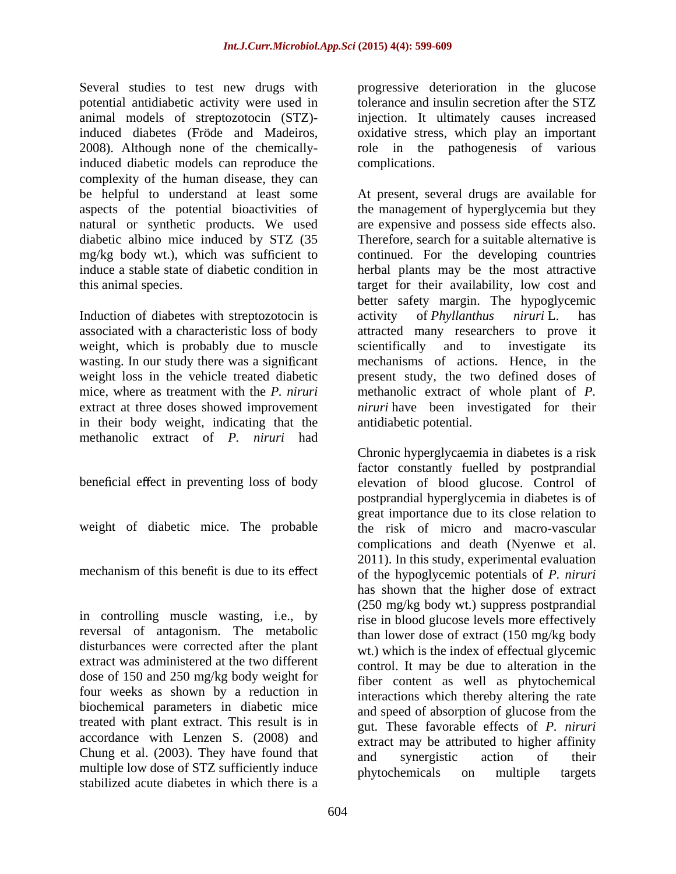Several studies to test new drugs with progressive deterioration in the glucose potential antidiabetic activity were used in animal models of streptozotocin (STZ) induced diabetes (Fröde and Madeiros, oxidative stress, which play an important 2008). Although none of the chemically-role in the pathogenesis of various induced diabetic models can reproduce the complexity of the human disease, they can natural or synthetic products. We used

Induction of diabetes with streptozotocin is activity of *Phyllanthus niruri* L. has weight, which is probably due to muscle scientifically and to investigate its in their body weight, indicating that the methanolic extract of *P. niruri* had

in controlling muscle wasting, i.e., by reversal of antagonism. The metabolic extract was administered at the two different dose of 150 and 250 mg/kg body weight for four weeks as shown by a reduction in treated with plant extract. This result is in Chung et al. (2003). They have found that and synergistic action of their multiple low dose of STZ sufficiently induce<br>phytochemicals on multiple targets stabilized acute diabetes in which there is a

tolerance and insulin secretion after the STZ injection. It ultimately causes increased complications.

be helpful to understand at least some At present, several drugs are available for aspects of the potential bioactivities of the management of hyperglycemia but they diabetic albino mice induced by STZ (35 Therefore, search for a suitable alternative is mg/kg body wt.), which was sufficient to continued. For the developing countries induce a stable state of diabetic condition in herbal plants may be the most attractive this animal species. target for their availability, low cost and associated with a characteristic loss of body attracted many researchers to prove it wasting. In our study there was a significant mechanisms of actions. Hence, in the weight loss in the vehicle treated diabetic present study, the two defined doses of mice, where as treatment with the *P. niruri* methanolic extract of whole plant of *P.*  extract at three doses showed improvement *niruri* have been investigated for their are expensive and possess side effects also. better safety margin. The hypoglycemic activity of *Phyllanthus niruri* L. has scientifically and to investigate its antidiabetic potential.

beneficial effect in preventing loss of body elevation of blood glucose. Control of weight of diabetic mice. The probable the risk of micro and macro-vascular mechanism of this benefit is due to its effect of the hypoglycemic potentials of *P. niruri* disturbances were corrected after the plant wt.) which is the index of effectual glycemic biochemical parameters in diabetic mice and speed of absorption of glucose from the accordance with Lenzen S. (2008) and  $\frac{1}{\text{extract}}$  may be attributed to higher affinity Chronic hyperglycaemia in diabetes is a risk factor constantly fuelled by postprandial postprandial hyperglycemia in diabetes is of great importance due to its close relation to complications and death (Nyenwe et al. 2011). In this study, experimental evaluation has shown that the higher dose of extract (250 mg/kg body wt.) suppress postprandial rise in blood glucose levels more effectively than lower dose of extract (150 mg/kg body control. It may be due to alteration in the fiber content as well as phytochemical interactions which thereby altering the rate gut. These favorable effects of *P. niruri* and synergistic action of their phytochemicals on multiple targets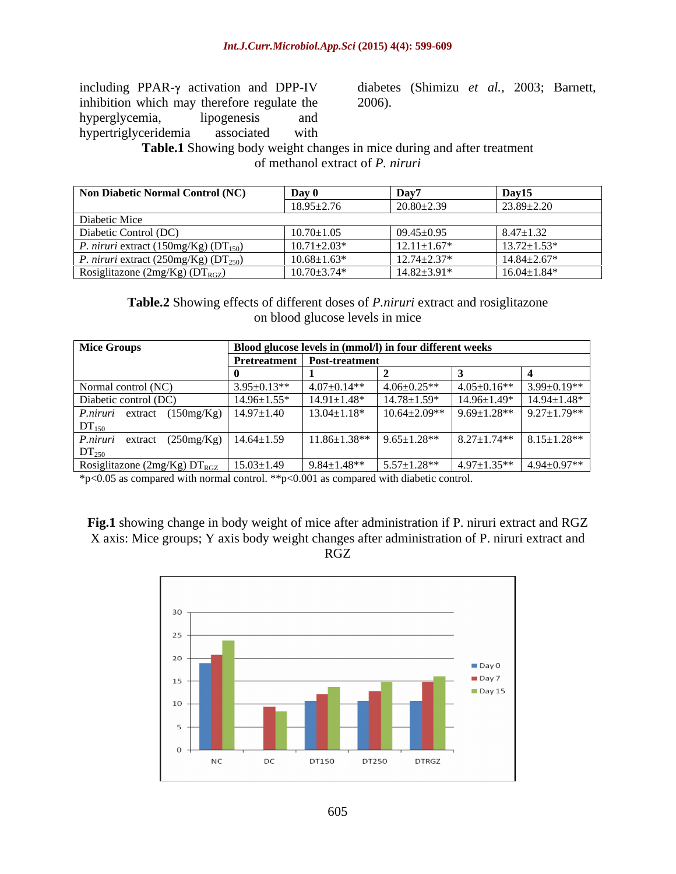including PPAR- $\gamma$  activation and DPP-IV diabetes (Shimizu *et al.*, 2003; Barnett, inhibition which may therefore regulate the 2006). hyperglycemia, lipogenesis and hypertriglyceridemia associated with

2006).

**Table.1** Showing body weight changes in mice during and after treatment of methanol extract of *P. niruri*

| Non Diabetic Normal Control (NC)                   | Day $\mathbf 0$   | Day7               | Day15             |
|----------------------------------------------------|-------------------|--------------------|-------------------|
|                                                    | $18.95 \pm 2.76$  | $20.80 \pm 2.39$   | $23.89 \pm 2.20$  |
| Diabetic Mice                                      |                   |                    |                   |
| Diabetic Control (DC)                              | $10.70 \pm 1.05$  | $09.45 \pm 0.95$   | $8.47 \pm 1.32$   |
| <i>P. niruri</i> extract (150mg/Kg) ( $DT_{150}$ ) | $10.71 \pm 2.03*$ | $12.11 \pm 1.67*$  | $13.72 \pm 1.53*$ |
| <i>P. niruri</i> extract $(250mg/Kg) (DT250)$      | $10.68 \pm 1.63*$ | $12.74 \pm 2.37*$  | $14.84 \pm 2.67*$ |
| Rosiglitazone (2mg/Kg) ( $DT_{RGZ}$ )              | $10.70 \pm 3.74*$ | $14.82 \pm 3.91^*$ | $16.04 \pm 1.84*$ |

**Table.2** Showing effects of different doses of *P.niruri* extract and rosiglitazone on blood glucose levels in mice

| <b>Mice Groups</b>                                                    | Blood glucose levels in (mmol/l) in four different weeks |                                      |                                      |                   |                                                     |  |
|-----------------------------------------------------------------------|----------------------------------------------------------|--------------------------------------|--------------------------------------|-------------------|-----------------------------------------------------|--|
|                                                                       |                                                          | <b>Pretreatment</b>   Post-treatment |                                      |                   |                                                     |  |
|                                                                       |                                                          |                                      |                                      |                   |                                                     |  |
| Normal control (NC)                                                   | $3.95 \pm 0.13**$                                        | $4.07 \pm 0.14**$                    | $4.06 \pm 0.25$ **                   | $4.05 \pm 0.16**$ | $3.99 \pm 0.19**$                                   |  |
| Diabetic control (DC)                                                 | $14.96 \pm 1.55^*$                                       | $14.91 \pm 1.48*$                    | $14.78 \pm 1.59*$                    | $14.96 \pm 1.49*$ | $14.94 \pm 1.48*$                                   |  |
| <i>P.niruri</i> extract $(150mg/Kg)$   14.97 $\pm$ 1.40<br>$DT_{150}$ |                                                          | $13.04 \pm 1.18*$                    | $10.64 \pm 2.09**$ 9.69 $\pm 1.28**$ |                   | $9.27 \pm 1.79$ **                                  |  |
| <i>P.niruri</i> extract $(250mg/Kg)$ 14.64 $\pm$ 1.59<br>$DT_{250}$   |                                                          |                                      | $11.86 \pm 1.38**$ 9.65 $\pm 1.28**$ |                   | $\vert 8.27 \pm 1.74** \vert 8.15 \pm 1.28** \vert$ |  |
| Rosiglitazone (2mg/Kg) $DT_{RGZ}$                                     | $15.03 \pm 1.49$                                         | $9.84 \pm 1.48**$                    | $5.57 \pm 1.28$ **                   | $4.97 \pm 1.35**$ | $4.94 \pm 0.97**$                                   |  |

\*p<0.05 as compared with normal control. \*\*p<0.001 as compared with diabetic control.

**Fig.1** showing change in body weight of mice after administration if P. niruri extract and RGZ X axis: Mice groups; Y axis body weight changes after administration of P. niruri extract and RGZ

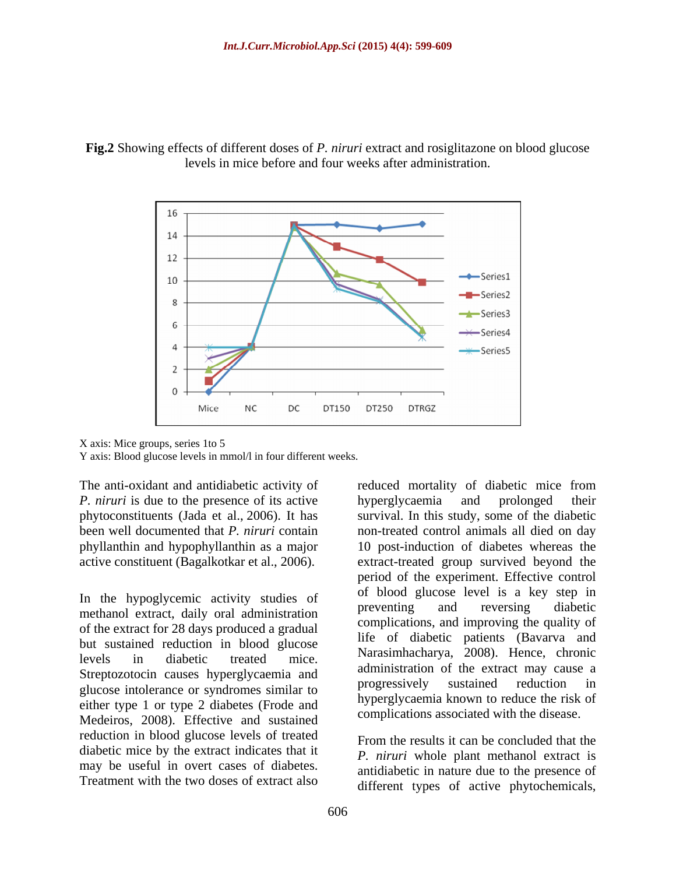



X axis: Mice groups, series 1to 5

Y axis: Blood glucose levels in mmol/l in four different weeks.

The anti-oxidant and antidiabetic activity of *P. niruri* is due to the presence of its active by energiy caemia and prolonged their been well documented that *P. niruri* contain

In the hypoglycemic activity studies of the bood glucose level is a key step in preventing and reversing diabetic methanol extract, daily oral administration of the extract for 28 days produced a gradual but sustained reduction in blood glucose Streptozotocin causes hyperglycaemia and<br>
subsequential progressively sustained reduction in glucose intolerance or syndromes similar to either type 1 or type 2 diabetes (Frode and Medeiros, 2008). Effective and sustained reduction in blood glucose levels of treated diabetic mice by the extract indicates that it may be useful in overt cases of diabetes. Treatment with the two doses of extract also

phytoconstituents (Jada et al., 2006). It has survival. In this study, some of the diabetic phyllanthin and hypophyllanthin as a major 10 post-induction of diabetes whereas the active constituent (Bagalkotkar et al., 2006). extract-treated group survived beyond the levels in diabetic treated mice. Indicational values of the contraction of the contraction of the contraction of the contraction of the contraction of the contraction of the contraction of the contraction of the contractio reduced mortality of diabetic mice from hyperglycaemia and prolonged their non-treated control animals all died on day period of the experiment. Effective control of blood glucose level is a key step in preventing and reversing diabetic complications, and improving the quality of life of diabetic patients (Bavarva and Narasimhacharya, 2008). Hence, chronic administration of the extract may cause a progressively sustained reduction in hyperglycaemia known to reduce the risk of complications associated with the disease.

> From the results it can be concluded that the *P. niruri* whole plant methanol extract is antidiabetic in nature due to the presence of different types of active phytochemicals,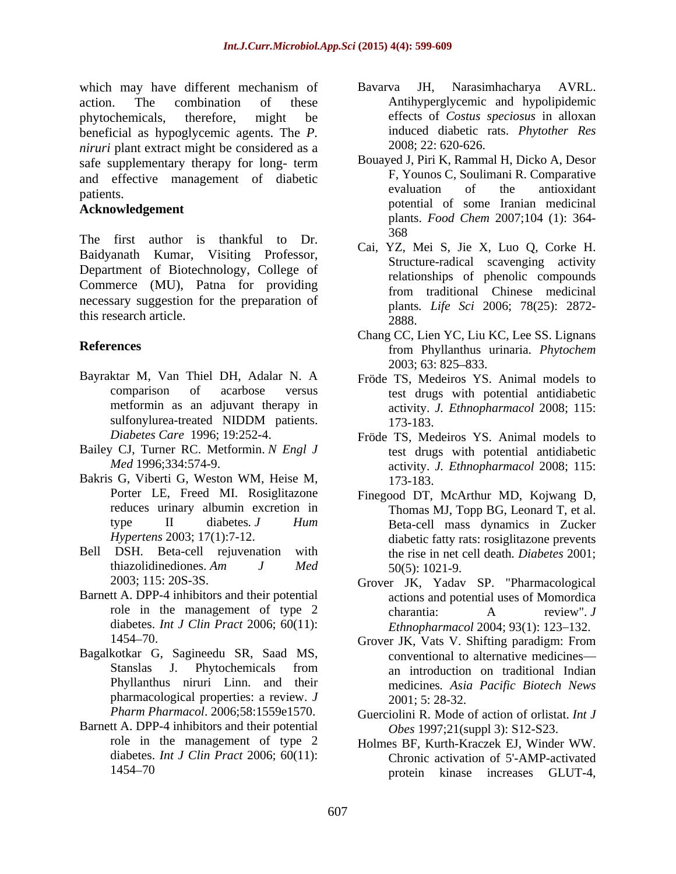which may have different mechanism of Bavarva JH, Narasimhacharya AVRL. action. The combination of these Antihyperglycemic and hypolipidemic phytochemicals, therefore, might be effects of *Costus speciosus* in alloxan beneficial as hypoglycemic agents. The *P. niruri* plant extract might be considered as a safe supplementary therapy for long- term and effective management of diabetic and  $\frac{F}{r}$ , Younos C, Soulimani R. Comparative<br>evaluation of the antioxidant patients.

## **Acknowledgement**

The first author is thankful to Dr.  $\frac{368}{9}$ Baidyanath Kumar, Visiting Professor, Department of Biotechnology, College of Commerce (MU), Patna for providing necessary suggestion for the preparation of this research article. 2888.

- Bayraktar M, Van Thiel DH, Adalar N. A
- Bailey CJ, Turner RC. Metformin. *N Engl J*
- Bakris G, Viberti G, Weston WM, Heise M, 173-183.
- 
- Barnett A. DPP-4 inhibitors and their potential diabetes. *Int J Clin Pract* 2006; 60(11):
- Bagalkotkar G, Sagineedu SR, Saad MS, pharmacological properties: a review. *J* 2001; 5: 28-32.
- Barnett A. DPP-4 inhibitors and their potential
- Bavarva JH, Narasimhacharya AVRL. induced diabetic rats. *Phytother Res* 2008; 22: 620-626.
- Bouayed J, Piri K, Rammal H, Dicko A, Desor F, Younos C, Soulimani R. Comparative evaluation of the antioxidant potential of some Iranian medicinal plants. *Food Chem* 2007;104 (1): 364- 368
- Cai, YZ, Mei S, Jie X, Luo Q, Corke H. Structure-radical scavenging activity relationships of phenolic compounds from traditional Chinese medicinal plants*. Life Sci* 2006; 78(25): 2872- 2888.
- **References** from Phyllanthus urinaria. *Phytochem* Chang CC, Lien YC, Liu KC, Lee SS. Lignans from Phyllanthus urinaria. *Phytochem* 2003; 63: 825–833.
	- comparison of acarbose versus test drugs with potential antidiabetic metformin as an adjuvant therapy in activity. *J. Ethnopharmacol* 2008; 115: sulfonylurea-treated NIDDM patients. 173-183. Fröde TS, Medeiros YS. Animal models to 173-183.
	- *Diabetes Care* 1996; 19:252-4. Fröde TS, Medeiros YS. Animal models to *Med* 1996;334:574-9. activity. *J. Ethnopharmacol* 2008; 115: test drugs with potential antidiabetic 173-183.
- Porter LE, Freed MI. Rosiglitazone Finegood DT, McArthur MD, Kojwang D, reduces urinary albumin excretion in Thomas MJ, Topp BG, Leonard T, et al. type II diabetes*. J Hum* Beta-cell mass dynamics in Zucker *Hypertens* 2003; 17(1):7-12. diabetic fatty rats: rosiglitazone prevents Bell DSH. Beta-cell rejuvenation with the rise in net cell death*. Diabetes* 2001; thiazolidinediones. Am  $J$  *Med*  $50(5)$ : 1021-9. 50(5): 1021-9.
	- 2003; 115: 20S-3S. Grover JK, Yadav SP. "Pharmacological role in the management of type 2 charantia: A review". J actions and potential uses of Momordica charantia: A review". *J Ethnopharmacol* 2004; 93(1): 123-132.
	- 1454 70. Grover JK, Vats V. Shifting paradigm: From Stanslas J. Phytochemicals from Phyllanthus niruri Linn. and their medicines*. Asia Pacific Biotech News* conventional to alternative medicines an introduction on traditional Indian 2001; 5: 28-32.
	- *Pharm Pharmacol*. 2006;58:1559e1570. Guerciolini R. Mode of action of orlistat. *Int J Obes* 1997;21(suppl 3): S12-S23.
	- role in the management of type 2 Holmes BF, Kurth-Kraczek EJ, Winder WW. diabetes. *Int J Clin Pract* 2006; 60(11): Chronic activation of 5'-AMP-activated 1454 70 protein kinase increases GLUT-4,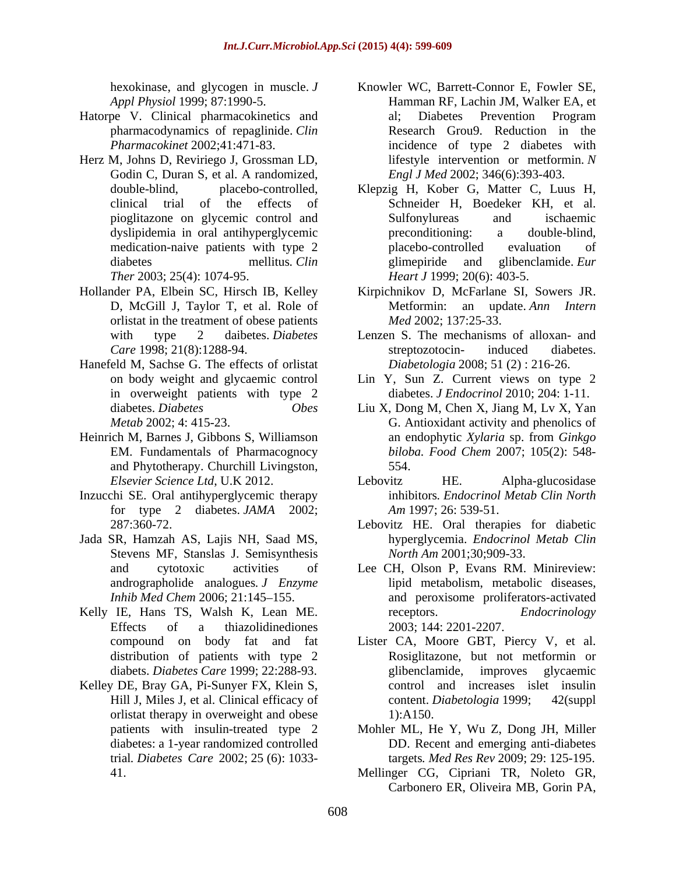- pharmacodynamics of repaglinide. *Clin*
- Herz M, Johns D, Reviriego J, Grossman LD, Godin C, Duran S, et al. A randomized,
- Hollander PA, Elbein SC, Hirsch IB, Kelley D, McGill J, Taylor T, et al. Role of orlistat in the treatment of obese patients *Med* 2002; 137:25-33.
- Hanefeld M, Sachse G. The effects of orlistat in overweight patients with type 2
- and Phytotherapy. Churchill Livingston,
- Inzucchi SE. Oral antihyperglycemic therapy for type 2 diabetes. *JAMA* 2002;
- Jada SR, Hamzah AS, Lajis NH, Saad MS, Stevens MF, Stanslas J. Semisynthesis
- Kelly IE, Hans TS, Walsh K, Lean ME. The receptors. Endocrinology Effects of a thiazolidinediones 2003; 144: 2201-2207.
- Kelley DE, Bray GA, Pi-Sunyer FX, Klein S, orlistat therapy in overweight and obese 1):A150.
- hexokinase, and glycogen in muscle. *J*  Knowler WC, Barrett-Connor E, Fowler SE, *Appl Physiol* 1999; 87:1990-5. Hamman RF, Lachin JM, Walker EA, et Hatorpe V. Clinical pharmacokinetics and *Pharmacokinet* 2002;41:471-83. incidence of type 2 diabetes with al; Diabetes Prevention Program Research Grou9. Reduction in the lifestyle intervention or metformin. *N Engl J Med* 2002; 346(6):393-403.
	- double-blind, placebo-controlled, Klepzig H, Kober G, Matter C, Luus H, clinical trial of the effects of Schneider H, Boedeker KH, et al. pioglitazone on glycemic control and dyslipidemia in oral antihyperglycemic medication-naive patients with type 2 placebo-controlled evaluation of diabetes mellitus. *Clin* glimepiride and glibenclamide. *Eur Ther* 2003; 25(4): 1074-95. *Heart J* 1999; 20(6): 403-5. Sulfonylureas and ischaemic preconditioning: a double-blind, placebo-controlled evaluation of glimepiride and glibenclamide. *Eur* 
		- Kirpichnikov D, McFarlane SI, Sowers JR. Metformin: an update. *Ann Intern Med* 2002; 137:25-33.
	- with type 2 daibetes. *Diabetes*  Lenzen S. The mechanisms of alloxan- and *Care* 1998; 21(8):1288-94. **Example 3 Example 3 Example 3 Example 3 Example 3 Example 3 Example 3 Example 3 Example 3 Example 4 Example 4 EXAMPLE 4 EXAMPLE 4 EXAMPLE 4 EXAMPLE 4 EXAMPLE 4 E** streptozotocin- induced diabetes. *Diabetologia* 2008; 51 (2) : 216-26.
	- on body weight and glycaemic control Lin Y, Sun Z. Current views on type 2 diabetes. *J Endocrinol* 2010; 204: 1-11.
- diabetes. *Diabetes Obes* Liu X, Dong M, Chen X, Jiang M, Lv X, Yan *Metab* 2002; 4: 415-23. G. Antioxidant activity and phenolics of Heinrich M, Barnes J, Gibbons S, Williamson an endophytic Xylaria sp. from Ginkgo EM. Fundamentals of Pharmacognocy *biloba. Food Chem* 2007; 105(2): 548 an endophytic *Xylaria* sp. from *Ginkgo*  554.
	- *Elsevier Science Ltd*, U.K 2012. Lebovitz HE. Alpha-glucosidase inhibitors*. Endocrinol Metab Clin North Am* 1997; 26: 539-51.
	- 287:360-72. Lebovitz HE. Oral therapies for diabetic hyperglycemia. *Endocrinol Metab Clin North Am* 2001;30;909-33.
	- and cytotoxic activities of Lee CH, Olson P, Evans RM. Minireview: andrographolide analogues*. J Enzyme* lipid metabolism, metabolic diseases, *Inhib Med Chem 2006*; 21:145–155. and peroxisome proliferators-activated receptors. *Endocrinology* 2003; 144: 2201-2207.
	- compound on body fat and fat Lister CA, Moore GBT, Piercy V, et al. distribution of patients with type 2 Rosiglitazone, but not metformin or diabets. *Diabetes Care* 1999; 22:288-93. Hill J, Miles J, et al. Clinical efficacy of content. Diabetologia 1999; 42(suppl glibenclamide, improves glycaemic control and increases islet insulin content. *Diabetologia* 1999; 1):A150.
	- patients with insulin-treated type 2 Mohler ML, He Y, Wu Z, Dong JH, Miller diabetes: a 1-year randomized controlled DD. Recent and emerging anti-diabetes trial*. Diabetes Care* 2002; 25 (6): 1033- targets*. Med Res Rev* 2009; 29: 125-195.
	- 41. Mellinger CG, Cipriani TR, Noleto GR, Carbonero ER, Oliveira MB, Gorin PA,